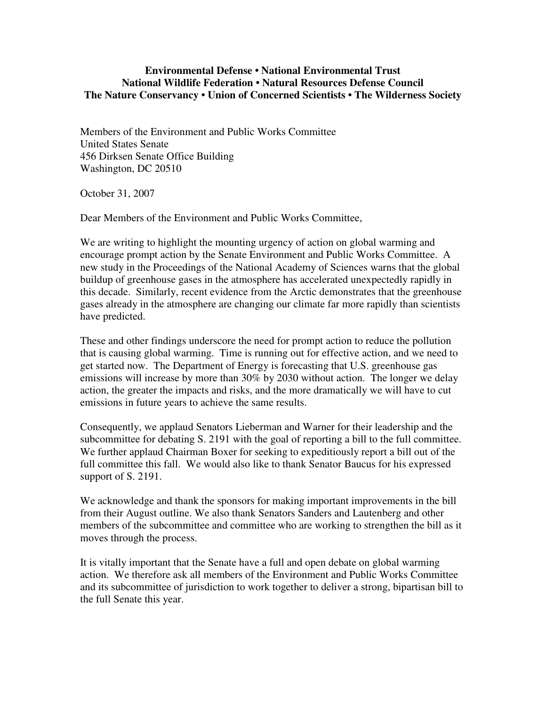## **Environmental Defense • National Environmental Trust National Wildlife Federation • Natural Resources Defense Council The Nature Conservancy • Union of Concerned Scientists • The Wilderness Society**

Members of the Environment and Public Works Committee United States Senate 456 Dirksen Senate Office Building Washington, DC 20510

October 31, 2007

Dear Members of the Environment and Public Works Committee,

We are writing to highlight the mounting urgency of action on global warming and encourage prompt action by the Senate Environment and Public Works Committee. A new study in the Proceedings of the National Academy of Sciences warns that the global buildup of greenhouse gases in the atmosphere has accelerated unexpectedly rapidly in this decade. Similarly, recent evidence from the Arctic demonstrates that the greenhouse gases already in the atmosphere are changing our climate far more rapidly than scientists have predicted.

These and other findings underscore the need for prompt action to reduce the pollution that is causing global warming. Time is running out for effective action, and we need to get started now. The Department of Energy is forecasting that U.S. greenhouse gas emissions will increase by more than 30% by 2030 without action. The longer we delay action, the greater the impacts and risks, and the more dramatically we will have to cut emissions in future years to achieve the same results.

Consequently, we applaud Senators Lieberman and Warner for their leadership and the subcommittee for debating S. 2191 with the goal of reporting a bill to the full committee. We further applaud Chairman Boxer for seeking to expeditiously report a bill out of the full committee this fall. We would also like to thank Senator Baucus for his expressed support of S. 2191.

We acknowledge and thank the sponsors for making important improvements in the bill from their August outline. We also thank Senators Sanders and Lautenberg and other members of the subcommittee and committee who are working to strengthen the bill as it moves through the process.

It is vitally important that the Senate have a full and open debate on global warming action. We therefore ask all members of the Environment and Public Works Committee and its subcommittee of jurisdiction to work together to deliver a strong, bipartisan bill to the full Senate this year.